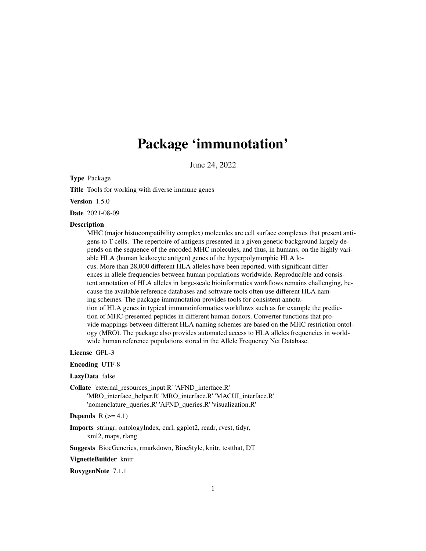# Package 'immunotation'

June 24, 2022

Type Package

Title Tools for working with diverse immune genes

Version 1.5.0

Date 2021-08-09

#### **Description**

MHC (major histocompatibility complex) molecules are cell surface complexes that present antigens to T cells. The repertoire of antigens presented in a given genetic background largely depends on the sequence of the encoded MHC molecules, and thus, in humans, on the highly variable HLA (human leukocyte antigen) genes of the hyperpolymorphic HLA locus. More than 28,000 different HLA alleles have been reported, with significant differences in allele frequencies between human populations worldwide. Reproducible and consistent annotation of HLA alleles in large-scale bioinformatics workflows remains challenging, because the available reference databases and software tools often use different HLA naming schemes. The package immunotation provides tools for consistent annotation of HLA genes in typical immunoinformatics workflows such as for example the prediction of MHC-presented peptides in different human donors. Converter functions that provide mappings between different HLA naming schemes are based on the MHC restriction ontology (MRO). The package also provides automated access to HLA alleles frequencies in worldwide human reference populations stored in the Allele Frequency Net Database.

License GPL-3

Encoding UTF-8

#### LazyData false

Collate 'external\_resources\_input.R' 'AFND\_interface.R' 'MRO\_interface\_helper.R' 'MRO\_interface.R' 'MACUI\_interface.R' 'nomenclature\_queries.R' 'AFND\_queries.R' 'visualization.R'

Depends  $R$  ( $>= 4.1$ )

Imports stringr, ontologyIndex, curl, ggplot2, readr, rvest, tidyr, xml2, maps, rlang

Suggests BiocGenerics, rmarkdown, BiocStyle, knitr, testthat, DT

VignetteBuilder knitr

RoxygenNote 7.1.1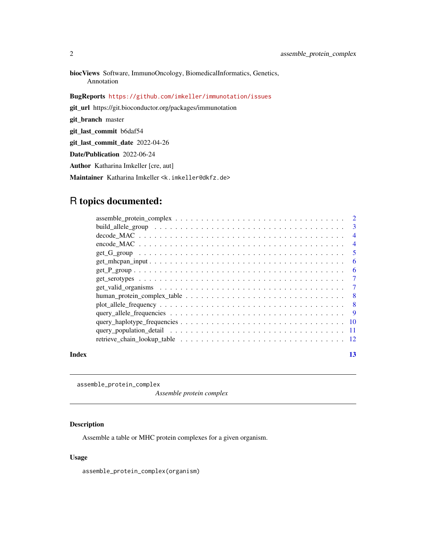<span id="page-1-0"></span>biocViews Software, ImmunoOncology, BiomedicalInformatics, Genetics, Annotation

BugReports <https://github.com/imkeller/immunotation/issues>

git\_url https://git.bioconductor.org/packages/immunotation

git\_branch master

git\_last\_commit b6daf54

git\_last\_commit\_date 2022-04-26

Date/Publication 2022-06-24

Author Katharina Imkeller [cre, aut]

Maintainer Katharina Imkeller <k.imkeller@dkfz.de>

## R topics documented:

|       |                                                                                                               | $\overline{4}$ |
|-------|---------------------------------------------------------------------------------------------------------------|----------------|
|       |                                                                                                               | $\overline{4}$ |
|       |                                                                                                               | -5             |
|       |                                                                                                               | - 6            |
|       |                                                                                                               | -6             |
|       |                                                                                                               | $\overline{7}$ |
|       |                                                                                                               | $\overline{7}$ |
|       |                                                                                                               |                |
|       | $plot\_allele\_frequency \dots \dots \dots \dots \dots \dots \dots \dots \dots \dots \dots \dots \dots \dots$ |                |
|       |                                                                                                               |                |
|       |                                                                                                               |                |
|       |                                                                                                               |                |
|       |                                                                                                               |                |
| Index |                                                                                                               | 13             |

assemble\_protein\_complex

*Assemble protein complex*

#### Description

Assemble a table or MHC protein complexes for a given organism.

#### Usage

assemble\_protein\_complex(organism)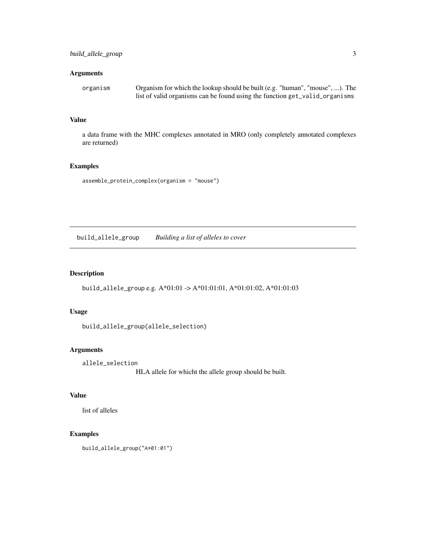#### <span id="page-2-0"></span>Arguments

| organism | Organism for which the lookup should be built (e.g. "human", "mouse", ). The |
|----------|------------------------------------------------------------------------------|
|          | list of valid organisms can be found using the function get_valid_organisms  |

#### Value

a data frame with the MHC complexes annotated in MRO (only completely annotated complexes are returned)

#### Examples

```
assemble_protein_complex(organism = "mouse")
```
build\_allele\_group *Building a list of alleles to cover*

#### Description

build\_allele\_group e.g. A\*01:01 -> A\*01:01:01, A\*01:01:02, A\*01:01:03

#### Usage

build\_allele\_group(allele\_selection)

#### Arguments

allele\_selection

HLA allele for whicht the allele group should be built.

#### Value

list of alleles

#### Examples

build\_allele\_group("A\*01:01")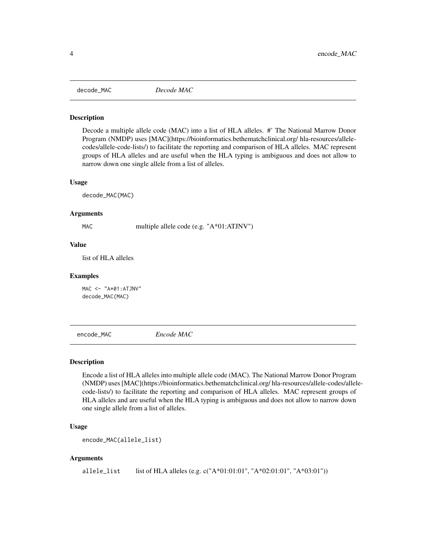<span id="page-3-0"></span>

#### Description

Decode a multiple allele code (MAC) into a list of HLA alleles. #' The National Marrow Donor Program (NMDP) uses [MAC](https://bioinformatics.bethematchclinical.org/ hla-resources/allelecodes/allele-code-lists/) to facilitate the reporting and comparison of HLA alleles. MAC represent groups of HLA alleles and are useful when the HLA typing is ambiguous and does not allow to narrow down one single allele from a list of alleles.

#### Usage

decode\_MAC(MAC)

#### Arguments

MAC multiple allele code (e.g. "A\*01:ATJNV")

#### Value

list of HLA alleles

#### Examples

 $MAC < -$  " $A * 01 : ATJNV"$ decode\_MAC(MAC)

encode\_MAC *Encode MAC*

#### **Description**

Encode a list of HLA alleles into multiple allele code (MAC). The National Marrow Donor Program (NMDP) uses [MAC](https://bioinformatics.bethematchclinical.org/ hla-resources/allele-codes/allelecode-lists/) to facilitate the reporting and comparison of HLA alleles. MAC represent groups of HLA alleles and are useful when the HLA typing is ambiguous and does not allow to narrow down one single allele from a list of alleles.

#### Usage

```
encode_MAC(allele_list)
```
#### Arguments

allele\_list list of HLA alleles (e.g. c("A\*01:01:01", "A\*02:01:01", "A\*03:01"))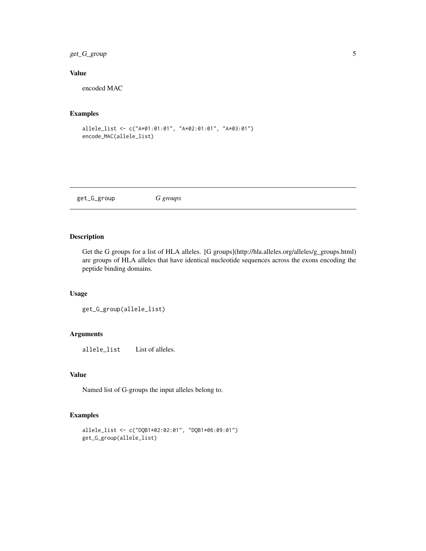### <span id="page-4-0"></span>get\_G\_group 5

#### Value

encoded MAC

#### Examples

```
allele_list <- c("A*01:01:01", "A*02:01:01", "A*03:01")
encode_MAC(allele_list)
```
get\_G\_group *G groups*

#### Description

Get the G groups for a list of HLA alleles. [G groups](http://hla.alleles.org/alleles/g\_groups.html) are groups of HLA alleles that have identical nucleotide sequences across the exons encoding the peptide binding domains.

#### Usage

```
get_G_group(allele_list)
```
#### Arguments

allele\_list List of alleles.

#### Value

Named list of G-groups the input alleles belong to.

#### Examples

```
allele_list <- c("DQB1*02:02:01", "DQB1*06:09:01")
get_G_group(allele_list)
```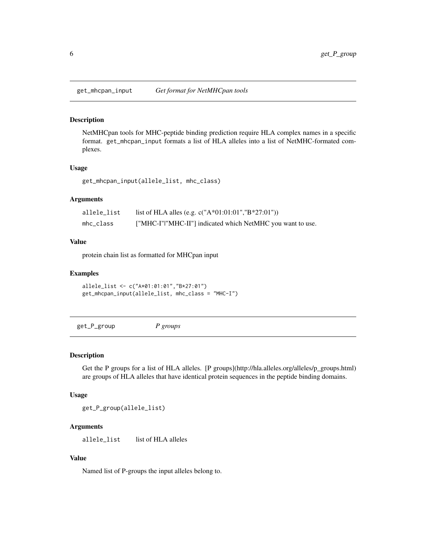<span id="page-5-0"></span>get\_mhcpan\_input *Get format for NetMHCpan tools*

#### Description

NetMHCpan tools for MHC-peptide binding prediction require HLA complex names in a specific format. get\_mhcpan\_input formats a list of HLA alleles into a list of NetMHC-formated complexes.

#### Usage

get\_mhcpan\_input(allele\_list, mhc\_class)

#### Arguments

| allele_list | list of HLA alles (e.g. c("A*01:01:01","B*27:01"))         |
|-------------|------------------------------------------------------------|
| mhc_class   | ["MHC-I" "MHC-II"] indicated which NetMHC you want to use. |

#### Value

protein chain list as formatted for MHCpan input

#### Examples

```
allele_list <- c("A*01:01:01","B*27:01")
get_mhcpan_input(allele_list, mhc_class = "MHC-I")
```
get\_P\_group *P groups*

#### Description

Get the P groups for a list of HLA alleles. [P groups](http://hla.alleles.org/alleles/p\_groups.html) are groups of HLA alleles that have identical protein sequences in the peptide binding domains.

#### Usage

get\_P\_group(allele\_list)

#### Arguments

allele\_list list of HLA alleles

#### Value

Named list of P-groups the input alleles belong to.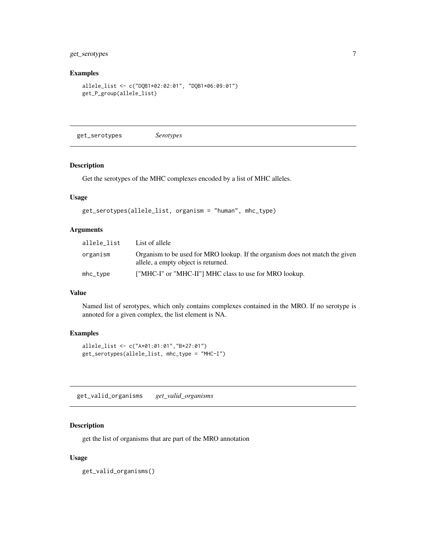#### <span id="page-6-0"></span>get\_serotypes 7

#### Examples

```
allele_list <- c("DQB1*02:02:01", "DQB1*06:09:01")
get_P_group(allele_list)
```
get\_serotypes *Serotypes*

#### Description

Get the serotypes of the MHC complexes encoded by a list of MHC alleles.

#### Usage

```
get_serotypes(allele_list, organism = "human", mhc_type)
```
#### Arguments

| allele list | List of allele                                                                                                      |
|-------------|---------------------------------------------------------------------------------------------------------------------|
| organism    | Organism to be used for MRO lookup. If the organism does not match the given<br>allele, a empty object is returned. |
| mhc_type    | ["MHC-I" or "MHC-II"] MHC class to use for MRO lookup.                                                              |

#### Value

Named list of serotypes, which only contains complexes contained in the MRO. If no serotype is annoted for a given complex, the list element is NA.

#### Examples

```
allele_list <- c("A*01:01:01","B*27:01")
get_serotypes(allele_list, mhc_type = "MHC-I")
```
get\_valid\_organisms *get\_valid\_organisms*

#### Description

get the list of organisms that are part of the MRO annotation

#### Usage

get\_valid\_organisms()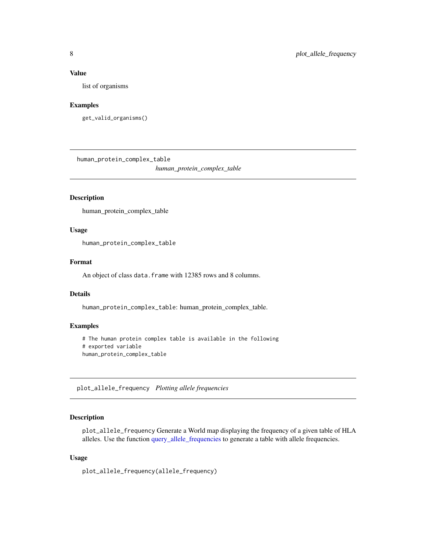#### <span id="page-7-0"></span>Value

list of organisms

#### Examples

```
get_valid_organisms()
```
human\_protein\_complex\_table

*human\_protein\_complex\_table*

#### Description

human\_protein\_complex\_table

#### Usage

human\_protein\_complex\_table

#### Format

An object of class data. frame with 12385 rows and 8 columns.

#### Details

human\_protein\_complex\_table: human\_protein\_complex\_table.

#### Examples

```
# The human protein complex table is available in the following
# exported variable
human_protein_complex_table
```
plot\_allele\_frequency *Plotting allele frequencies*

#### Description

plot\_allele\_frequency Generate a World map displaying the frequency of a given table of HLA alleles. Use the function [query\\_allele\\_frequencies](#page-8-1) to generate a table with allele frequencies.

#### Usage

plot\_allele\_frequency(allele\_frequency)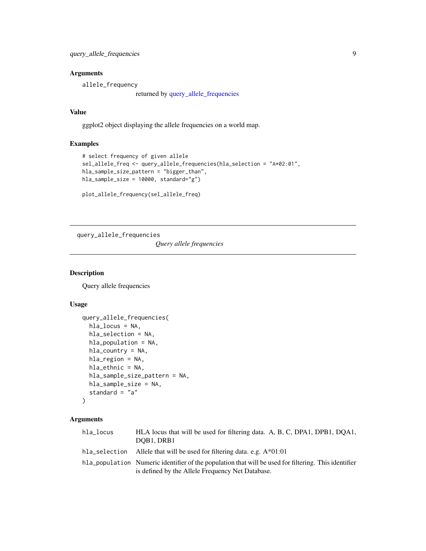#### <span id="page-8-0"></span>Arguments

allele\_frequency

returned by [query\\_allele\\_frequencies](#page-8-1)

#### Value

ggplot2 object displaying the allele frequencies on a world map.

#### Examples

```
# select frequency of given allele
sel_allele_freq <- query_allele_frequencies(hla_selection = "A*02:01",
hla_sample_size_pattern = "bigger_than",
hla_sample_size = 10000, standard="g")
```
plot\_allele\_frequency(sel\_allele\_freq)

<span id="page-8-1"></span>query\_allele\_frequencies

*Query allele frequencies*

#### Description

Query allele frequencies

#### Usage

```
query_allele_frequencies(
 hla_locus = NA,
 hla_selection = NA,
 hla_population = NA,
 hla_country = NA,
 hla_region = NA,
 hla_ethnic = NA,
 hla_sample_size_pattern = NA,
 hla_sample_size = NA,
  standard = "a")
```
#### Arguments

| hla locus     | HLA locus that will be used for filtering data. A, B, C, DPA1, DPB1, DQA1,<br>DOB1. DRB1             |
|---------------|------------------------------------------------------------------------------------------------------|
| hla selection | Allele that will be used for filtering data. e.g. $A*01:01$                                          |
|               | hla_population Numeric identifier of the population that will be used for filtering. This identifier |
|               | is defined by the Allele Frequency Net Database.                                                     |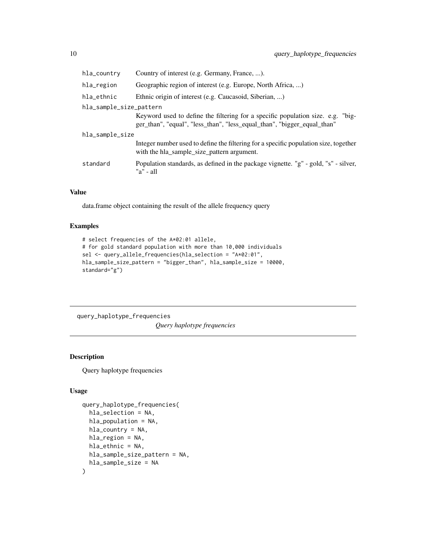<span id="page-9-0"></span>

| hla_country             | Country of interest (e.g. Germany, France, ).                                                                                                              |  |
|-------------------------|------------------------------------------------------------------------------------------------------------------------------------------------------------|--|
| hla_region              | Geographic region of interest (e.g. Europe, North Africa, )                                                                                                |  |
| hla_ethnic              | Ethnic origin of interest (e.g. Caucasoid, Siberian, )                                                                                                     |  |
| hla_sample_size_pattern |                                                                                                                                                            |  |
|                         | Keyword used to define the filtering for a specific population size. e.g. "big-<br>ger_than", "equal", "less_than", "less_equal_than", "bigger_equal_than" |  |
| hla_sample_size         |                                                                                                                                                            |  |
|                         | Integer number used to define the filtering for a specific population size, together<br>with the hla_sample_size_pattern argument.                         |  |
| standard                | Population standards, as defined in the package vignette. "g" - gold, "s" - silver,<br>" $a$ " - $a$ ll                                                    |  |

#### Value

data.frame object containing the result of the allele frequency query

#### Examples

```
# select frequencies of the A*02:01 allele,
# for gold standard population with more than 10,000 individuals
sel <- query_allele_frequencies(hla_selection = "A*02:01",
hla_sample_size_pattern = "bigger_than", hla_sample_size = 10000,
standard="g")
```
query\_haplotype\_frequencies

*Query haplotype frequencies*

#### Description

Query haplotype frequencies

#### Usage

```
query_haplotype_frequencies(
  hla_selection = NA,
  hla_population = NA,
  hla_{\text{1}}country = NA,
  hla_region = NA,
  hla_ethnic = NA,
  hla_sample_size_pattern = NA,
  hla_sample_size = NA
\mathcal{E}
```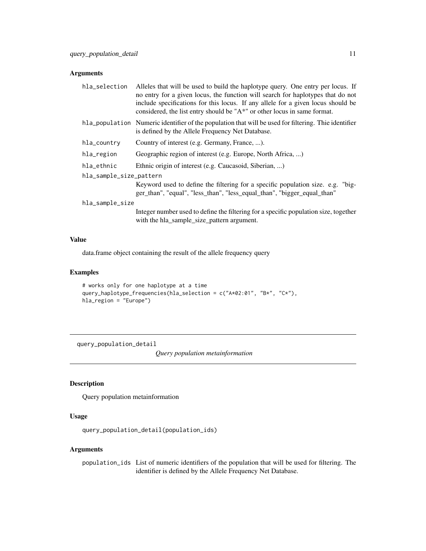#### <span id="page-10-0"></span>Arguments

| hla_selection           | Alleles that will be used to build the haplotype query. One entry per locus. If<br>no entry for a given locus, the function will search for haplotypes that do not<br>include specifications for this locus. If any allele for a given locus should be<br>considered, the list entry should be " $A^*$ " or other locus in same format. |
|-------------------------|-----------------------------------------------------------------------------------------------------------------------------------------------------------------------------------------------------------------------------------------------------------------------------------------------------------------------------------------|
|                         | hla_population Numeric identifier of the population that will be used for filtering. This identifier<br>is defined by the Allele Frequency Net Database.                                                                                                                                                                                |
| hla_country             | Country of interest (e.g. Germany, France, ).                                                                                                                                                                                                                                                                                           |
| hla_region              | Geographic region of interest (e.g. Europe, North Africa, )                                                                                                                                                                                                                                                                             |
| hla_ethnic              | Ethnic origin of interest (e.g. Caucasoid, Siberian, )                                                                                                                                                                                                                                                                                  |
| hla_sample_size_pattern |                                                                                                                                                                                                                                                                                                                                         |
|                         | Keyword used to define the filtering for a specific population size. e.g. "big-<br>ger_than", "equal", "less_than", "less_equal_than", "bigger_equal_than"                                                                                                                                                                              |
| hla_sample_size         |                                                                                                                                                                                                                                                                                                                                         |
|                         | Integer number used to define the filtering for a specific population size, together<br>with the hla_sample_size_pattern argument.                                                                                                                                                                                                      |

#### Value

data.frame object containing the result of the allele frequency query

#### Examples

```
# works only for one haplotype at a time
query_haplotype_frequencies(hla_selection = c("A*02:01", "B*", "C*"),
hla_region = "Europe")
```
query\_population\_detail

*Query population metainformation*

#### Description

Query population metainformation

#### Usage

query\_population\_detail(population\_ids)

#### Arguments

population\_ids List of numeric identifiers of the population that will be used for filtering. The identifier is defined by the Allele Frequency Net Database.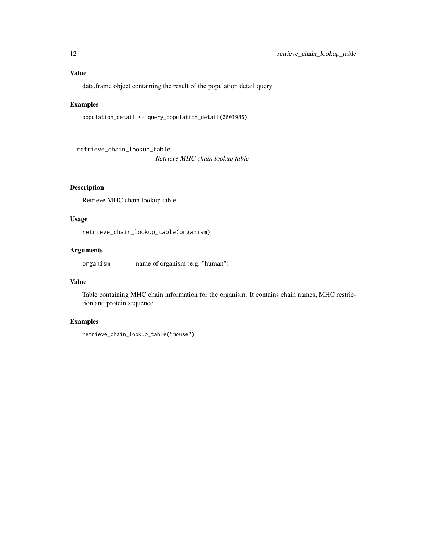#### <span id="page-11-0"></span>Value

data.frame object containing the result of the population detail query

#### Examples

```
population_detail <- query_population_detail(0001986)
```
retrieve\_chain\_lookup\_table *Retrieve MHC chain lookup table*

#### Description

Retrieve MHC chain lookup table

#### Usage

retrieve\_chain\_lookup\_table(organism)

#### Arguments

organism name of organism (e.g. "human")

#### Value

Table containing MHC chain information for the organism. It contains chain names, MHC restriction and protein sequence.

#### Examples

```
retrieve_chain_lookup_table("mouse")
```